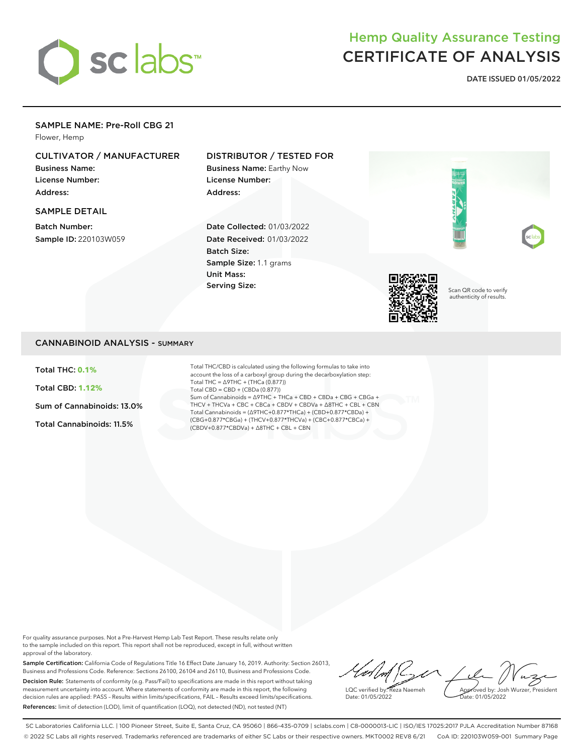

# Hemp Quality Assurance Testing CERTIFICATE OF ANALYSIS

**DATE ISSUED 01/05/2022**

#### SAMPLE NAME: Pre-Roll CBG 21

Flower, Hemp

## CULTIVATOR / MANUFACTURER

Business Name: License Number: Address:

#### SAMPLE DETAIL

Batch Number: Sample ID: 220103W059

### DISTRIBUTOR / TESTED FOR

Business Name: Earthy Now License Number: Address:

Date Collected: 01/03/2022 Date Received: 01/03/2022 Batch Size: Sample Size: 1.1 grams Unit Mass: Serving Size:



Scan QR code to verify authenticity of results.

#### CANNABINOID ANALYSIS - SUMMARY

Total THC: **0.1%**

Total CBD: **1.12%**

Sum of Cannabinoids: 13.0%

Total Cannabinoids: 11.5%

Total THC/CBD is calculated using the following formulas to take into account the loss of a carboxyl group during the decarboxylation step: Total THC = ∆9THC + (THCa (0.877)) Total CBD = CBD + (CBDa (0.877)) Sum of Cannabinoids = ∆9THC + THCa + CBD + CBDa + CBG + CBGa + THCV + THCVa + CBC + CBCa + CBDV + CBDVa + ∆8THC + CBL + CBN Total Cannabinoids = (∆9THC+0.877\*THCa) + (CBD+0.877\*CBDa) + (CBG+0.877\*CBGa) + (THCV+0.877\*THCVa) + (CBC+0.877\*CBCa) + (CBDV+0.877\*CBDVa) + ∆8THC + CBL + CBN

For quality assurance purposes. Not a Pre-Harvest Hemp Lab Test Report. These results relate only to the sample included on this report. This report shall not be reproduced, except in full, without written approval of the laboratory.

Sample Certification: California Code of Regulations Title 16 Effect Date January 16, 2019. Authority: Section 26013, Business and Professions Code. Reference: Sections 26100, 26104 and 26110, Business and Professions Code. Decision Rule: Statements of conformity (e.g. Pass/Fail) to specifications are made in this report without taking measurement uncertainty into account. Where statements of conformity are made in this report, the following decision rules are applied: PASS – Results within limits/specifications, FAIL – Results exceed limits/specifications. References: limit of detection (LOD), limit of quantification (LOQ), not detected (ND), not tested (NT)

 $M / L$ 72 Approved by: Josh Wurzer, President LQC verified by: Reza Naemeh Date: 01/05/2022 ate: 01/05/2022

SC Laboratories California LLC. | 100 Pioneer Street, Suite E, Santa Cruz, CA 95060 | 866-435-0709 | sclabs.com | C8-0000013-LIC | ISO/IES 17025:2017 PJLA Accreditation Number 87168 © 2022 SC Labs all rights reserved. Trademarks referenced are trademarks of either SC Labs or their respective owners. MKT0002 REV8 6/21 CoA ID: 220103W059-001 Summary Page